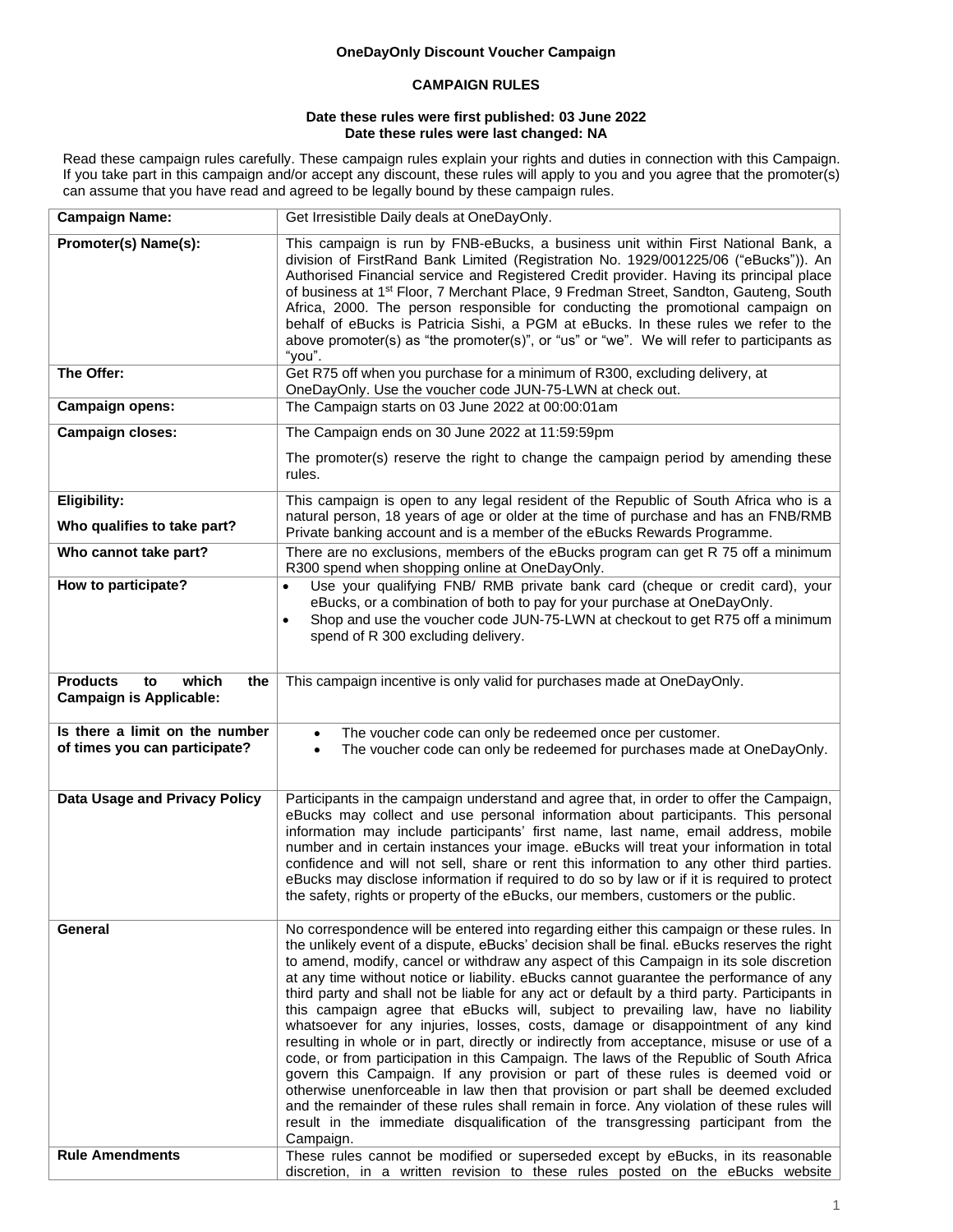# **OneDayOnly Discount Voucher Campaign**

# **CAMPAIGN RULES**

#### **Date these rules were first published: 03 June 2022 Date these rules were last changed: NA**

Read these campaign rules carefully. These campaign rules explain your rights and duties in connection with this Campaign. If you take part in this campaign and/or accept any discount, these rules will apply to you and you agree that the promoter(s) can assume that you have read and agreed to be legally bound by these campaign rules.

| <b>Campaign Name:</b>                                                   | Get Irresistible Daily deals at OneDayOnly.                                                                                                                                                                                                                                                                                                                                                                                                                                                                                                                                                                                                                                                                                                                                                                                                                                                                                                                                                                                                                                                                                                                                                                              |  |  |  |  |
|-------------------------------------------------------------------------|--------------------------------------------------------------------------------------------------------------------------------------------------------------------------------------------------------------------------------------------------------------------------------------------------------------------------------------------------------------------------------------------------------------------------------------------------------------------------------------------------------------------------------------------------------------------------------------------------------------------------------------------------------------------------------------------------------------------------------------------------------------------------------------------------------------------------------------------------------------------------------------------------------------------------------------------------------------------------------------------------------------------------------------------------------------------------------------------------------------------------------------------------------------------------------------------------------------------------|--|--|--|--|
| Promoter(s) Name(s):                                                    | This campaign is run by FNB-eBucks, a business unit within First National Bank, a<br>division of FirstRand Bank Limited (Registration No. 1929/001225/06 ("eBucks")). An<br>Authorised Financial service and Registered Credit provider. Having its principal place<br>of business at 1 <sup>st</sup> Floor, 7 Merchant Place, 9 Fredman Street, Sandton, Gauteng, South<br>Africa, 2000. The person responsible for conducting the promotional campaign on<br>behalf of eBucks is Patricia Sishi, a PGM at eBucks. In these rules we refer to the<br>above promoter(s) as "the promoter(s)", or "us" or "we". We will refer to participants as<br>"you".                                                                                                                                                                                                                                                                                                                                                                                                                                                                                                                                                                |  |  |  |  |
| The Offer:                                                              | Get R75 off when you purchase for a minimum of R300, excluding delivery, at<br>OneDayOnly. Use the voucher code JUN-75-LWN at check out.                                                                                                                                                                                                                                                                                                                                                                                                                                                                                                                                                                                                                                                                                                                                                                                                                                                                                                                                                                                                                                                                                 |  |  |  |  |
| Campaign opens:                                                         | The Campaign starts on 03 June 2022 at 00:00:01am                                                                                                                                                                                                                                                                                                                                                                                                                                                                                                                                                                                                                                                                                                                                                                                                                                                                                                                                                                                                                                                                                                                                                                        |  |  |  |  |
| <b>Campaign closes:</b>                                                 | The Campaign ends on 30 June 2022 at 11:59:59pm<br>The promoter(s) reserve the right to change the campaign period by amending these<br>rules.                                                                                                                                                                                                                                                                                                                                                                                                                                                                                                                                                                                                                                                                                                                                                                                                                                                                                                                                                                                                                                                                           |  |  |  |  |
| Eligibility:<br>Who qualifies to take part?                             | This campaign is open to any legal resident of the Republic of South Africa who is a<br>natural person, 18 years of age or older at the time of purchase and has an FNB/RMB<br>Private banking account and is a member of the eBucks Rewards Programme.                                                                                                                                                                                                                                                                                                                                                                                                                                                                                                                                                                                                                                                                                                                                                                                                                                                                                                                                                                  |  |  |  |  |
| Who cannot take part?                                                   | There are no exclusions, members of the eBucks program can get R 75 off a minimum<br>R300 spend when shopping online at OneDayOnly.                                                                                                                                                                                                                                                                                                                                                                                                                                                                                                                                                                                                                                                                                                                                                                                                                                                                                                                                                                                                                                                                                      |  |  |  |  |
| How to participate?                                                     | Use your qualifying FNB/ RMB private bank card (cheque or credit card), your<br>$\bullet$<br>eBucks, or a combination of both to pay for your purchase at OneDayOnly.<br>Shop and use the voucher code JUN-75-LWN at checkout to get R75 off a minimum<br>spend of R 300 excluding delivery.                                                                                                                                                                                                                                                                                                                                                                                                                                                                                                                                                                                                                                                                                                                                                                                                                                                                                                                             |  |  |  |  |
| <b>Products</b><br>which<br>to<br>the<br><b>Campaign is Applicable:</b> | This campaign incentive is only valid for purchases made at OneDayOnly.                                                                                                                                                                                                                                                                                                                                                                                                                                                                                                                                                                                                                                                                                                                                                                                                                                                                                                                                                                                                                                                                                                                                                  |  |  |  |  |
| Is there a limit on the number<br>of times you can participate?         | The voucher code can only be redeemed once per customer.<br>$\bullet$<br>The voucher code can only be redeemed for purchases made at OneDayOnly.                                                                                                                                                                                                                                                                                                                                                                                                                                                                                                                                                                                                                                                                                                                                                                                                                                                                                                                                                                                                                                                                         |  |  |  |  |
| Data Usage and Privacy Policy                                           | Participants in the campaign understand and agree that, in order to offer the Campaign,<br>eBucks may collect and use personal information about participants. This personal<br>information may include participants' first name, last name, email address, mobile<br>number and in certain instances your image. eBucks will treat your information in total<br>confidence and will not sell, share or rent this information to any other third parties.<br>eBucks may disclose information if required to do so by law or if it is required to protect<br>the safety, rights or property of the eBucks, our members, customers or the public.                                                                                                                                                                                                                                                                                                                                                                                                                                                                                                                                                                          |  |  |  |  |
| General                                                                 | No correspondence will be entered into regarding either this campaign or these rules. In<br>the unlikely event of a dispute, eBucks' decision shall be final. eBucks reserves the right<br>to amend, modify, cancel or withdraw any aspect of this Campaign in its sole discretion<br>at any time without notice or liability. eBucks cannot guarantee the performance of any<br>third party and shall not be liable for any act or default by a third party. Participants in<br>this campaign agree that eBucks will, subject to prevailing law, have no liability<br>whatsoever for any injuries, losses, costs, damage or disappointment of any kind<br>resulting in whole or in part, directly or indirectly from acceptance, misuse or use of a<br>code, or from participation in this Campaign. The laws of the Republic of South Africa<br>govern this Campaign. If any provision or part of these rules is deemed void or<br>otherwise unenforceable in law then that provision or part shall be deemed excluded<br>and the remainder of these rules shall remain in force. Any violation of these rules will<br>result in the immediate disqualification of the transgressing participant from the<br>Campaign. |  |  |  |  |
| <b>Rule Amendments</b>                                                  | These rules cannot be modified or superseded except by eBucks, in its reasonable<br>discretion, in a written revision to these rules posted on the eBucks website                                                                                                                                                                                                                                                                                                                                                                                                                                                                                                                                                                                                                                                                                                                                                                                                                                                                                                                                                                                                                                                        |  |  |  |  |